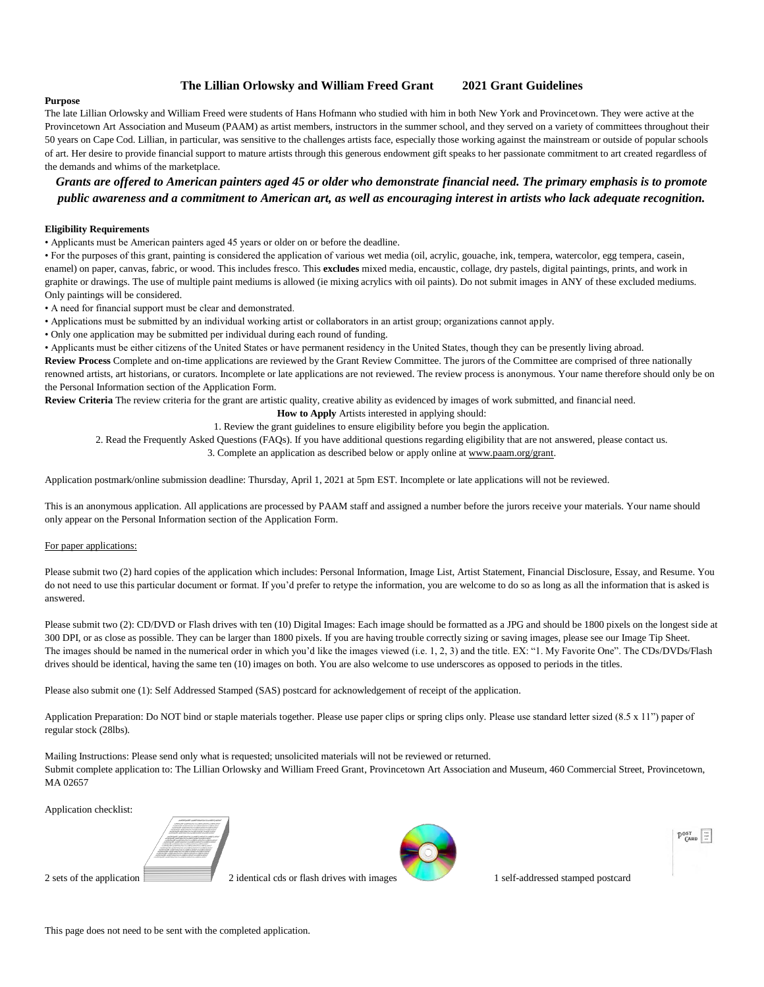#### **The Lillian Orlowsky and William Freed Grant 2021 Grant Guidelines**

#### **Purpose**

The late Lillian Orlowsky and William Freed were students of Hans Hofmann who studied with him in both New York and Provincetown. They were active at the Provincetown Art Association and Museum (PAAM) as artist members, instructors in the summer school, and they served on a variety of committees throughout their 50 years on Cape Cod. Lillian, in particular, was sensitive to the challenges artists face, especially those working against the mainstream or outside of popular schools of art. Her desire to provide financial support to mature artists through this generous endowment gift speaks to her passionate commitment to art created regardless of the demands and whims of the marketplace.

*Grants are offered to American painters aged 45 or older who demonstrate financial need. The primary emphasis is to promote public awareness and a commitment to American art, as well as encouraging interest in artists who lack adequate recognition.*

#### **Eligibility Requirements**

• Applicants must be American painters aged 45 years or older on or before the deadline.

• For the purposes of this grant, painting is considered the application of various wet media (oil, acrylic, gouache, ink, tempera, watercolor, egg tempera, casein, enamel) on paper, canvas, fabric, or wood. This includes fresco. This **excludes** mixed media, encaustic, collage, dry pastels, digital paintings, prints, and work in graphite or drawings. The use of multiple paint mediums is allowed (ie mixing acrylics with oil paints). Do not submit images in ANY of these excluded mediums. Only paintings will be considered.

• A need for financial support must be clear and demonstrated.

• Applications must be submitted by an individual working artist or collaborators in an artist group; organizations cannot apply.

• Only one application may be submitted per individual during each round of funding.

• Applicants must be either citizens of the United States or have permanent residency in the United States, though they can be presently living abroad.

**Review Process** Complete and on-time applications are reviewed by the Grant Review Committee. The jurors of the Committee are comprised of three nationally renowned artists, art historians, or curators. Incomplete or late applications are not reviewed. The review process is anonymous. Your name therefore should only be on the Personal Information section of the Application Form.

**Review Criteria** The review criteria for the grant are artistic quality, creative ability as evidenced by images of work submitted, and financial need.

**How to Apply** Artists interested in applying should:

1. Review the grant guidelines to ensure eligibility before you begin the application.

2. Read the Frequently Asked Questions (FAQs). If you have additional questions regarding eligibility that are not answered, please contact us.

3. Complete an application as described below or apply online at www.paam.org/grant.

Application postmark/online submission deadline: Thursday, April 1, 2021 at 5pm EST. Incomplete or late applications will not be reviewed.

This is an anonymous application. All applications are processed by PAAM staff and assigned a number before the jurors receive your materials. Your name should only appear on the Personal Information section of the Application Form.

#### For paper applications:

Please submit two (2) hard copies of the application which includes: Personal Information, Image List, Artist Statement, Financial Disclosure, Essay, and Resume. You do not need to use this particular document or format. If you'd prefer to retype the information, you are welcome to do so as long as all the information that is asked is answered.

Please submit two (2): CD/DVD or Flash drives with ten (10) Digital Images: Each image should be formatted as a JPG and should be 1800 pixels on the longest side at 300 DPI, or as close as possible. They can be larger than 1800 pixels. If you are having trouble correctly sizing or saving images, please see our Image Tip Sheet. The images should be named in the numerical order in which you'd like the images viewed (i.e. 1, 2, 3) and the title. EX: "1. My Favorite One". The CDs/DVDs/Flash drives should be identical, having the same ten (10) images on both. You are also welcome to use underscores as opposed to periods in the titles.

Please also submit one (1): Self Addressed Stamped (SAS) postcard for acknowledgement of receipt of the application.

Application Preparation: Do NOT bind or staple materials together. Please use paper clips or spring clips only. Please use standard letter sized (8.5 x 11") paper of regular stock (28lbs).

Mailing Instructions: Please send only what is requested; unsolicited materials will not be reviewed or returned. Submit complete application to: The Lillian Orlowsky and William Freed Grant, Provincetown Art Association and Museum, 460 Commercial Street, Provincetown, MA 02657

Application checklist:



2 sets of the application 2 identical cds or flash drives with images 1 self-addressed stamped postcard



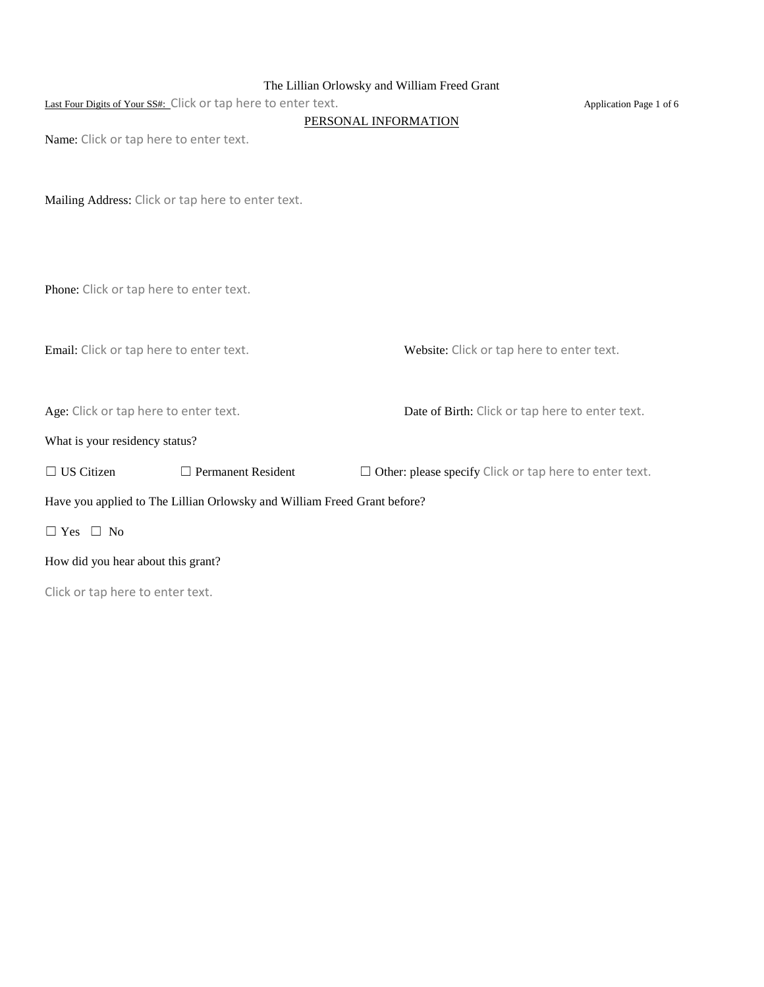## The Lillian Orlowsky and William Freed Grant

|--|

Application Page 1 of 6

#### PERSONAL INFORMATION

Name: Click or tap here to enter text.

Mailing Address: Click or tap here to enter text.

Phone: Click or tap here to enter text.

Email: Click or tap here to enter text. Website: Click or tap here to enter text.

Age: Click or tap here to enter text. Date of Birth: Click or tap here to enter text.

What is your residency status?

☐ US Citizen ☐ Permanent Resident ☐ Other: please specify Click or tap here to enter text.

Have you applied to The Lillian Orlowsky and William Freed Grant before?

☐ Yes ☐ No

How did you hear about this grant?

Click or tap here to enter text.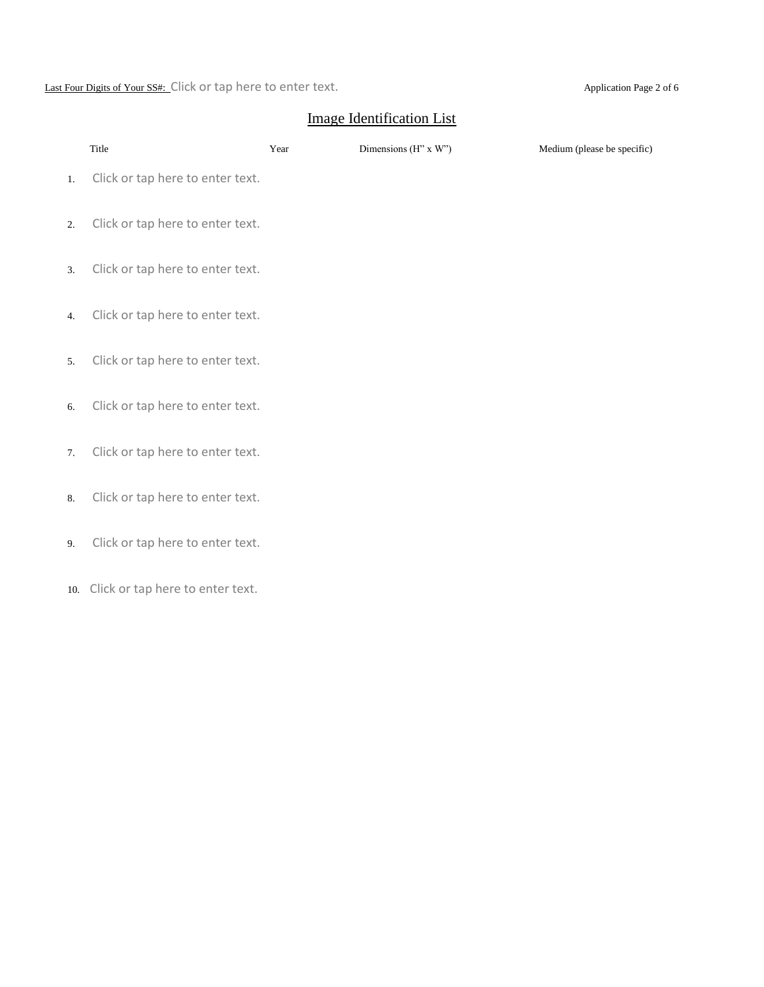Last Four Digits of Your SS#: Click or tap here to enter text. Application Page 2 of 6

# Image Identification List

|    | Title                                | Year | Dimensions (H" x W") | Medium (please be specific) |
|----|--------------------------------------|------|----------------------|-----------------------------|
| 1. | Click or tap here to enter text.     |      |                      |                             |
| 2. | Click or tap here to enter text.     |      |                      |                             |
| 3. | Click or tap here to enter text.     |      |                      |                             |
| 4. | Click or tap here to enter text.     |      |                      |                             |
| 5. | Click or tap here to enter text.     |      |                      |                             |
| 6. | Click or tap here to enter text.     |      |                      |                             |
| 7. | Click or tap here to enter text.     |      |                      |                             |
| 8. | Click or tap here to enter text.     |      |                      |                             |
| 9. | Click or tap here to enter text.     |      |                      |                             |
|    | 10. Click or tap here to enter text. |      |                      |                             |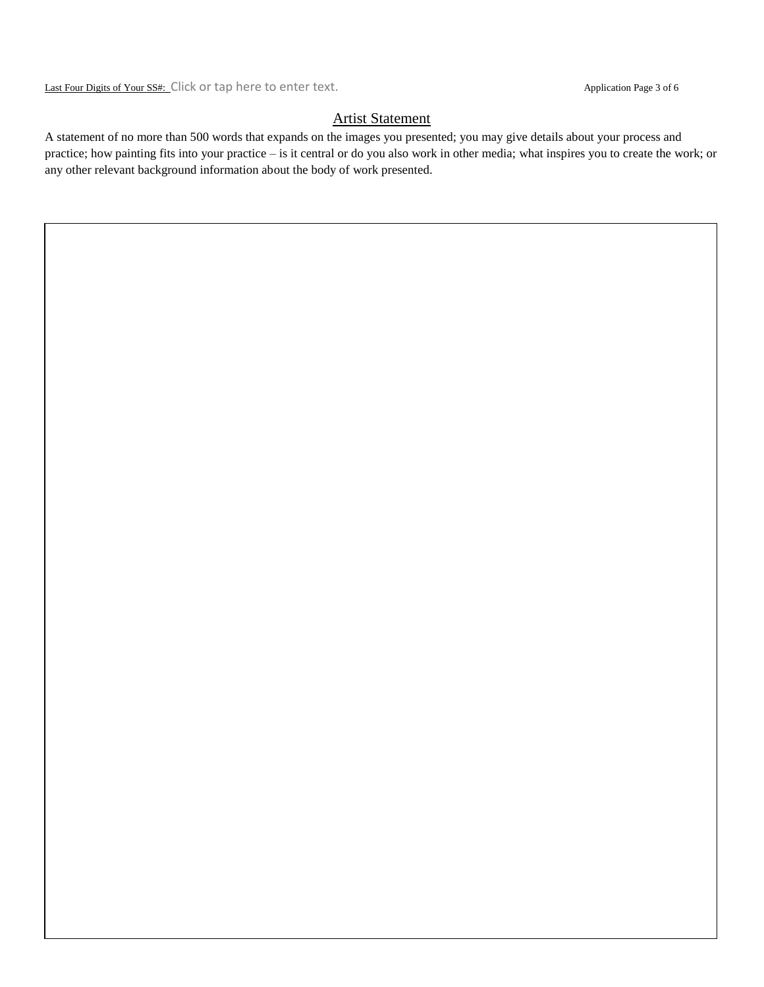Last Four Digits of Your SS#: Click or tap here to enter text. Application Page 3 of 6

# Artist Statement

A statement of no more than 500 words that expands on the images you presented; you may give details about your process and practice; how painting fits into your practice – is it central or do you also work in other media; what inspires you to create the work; or any other relevant background information about the body of work presented.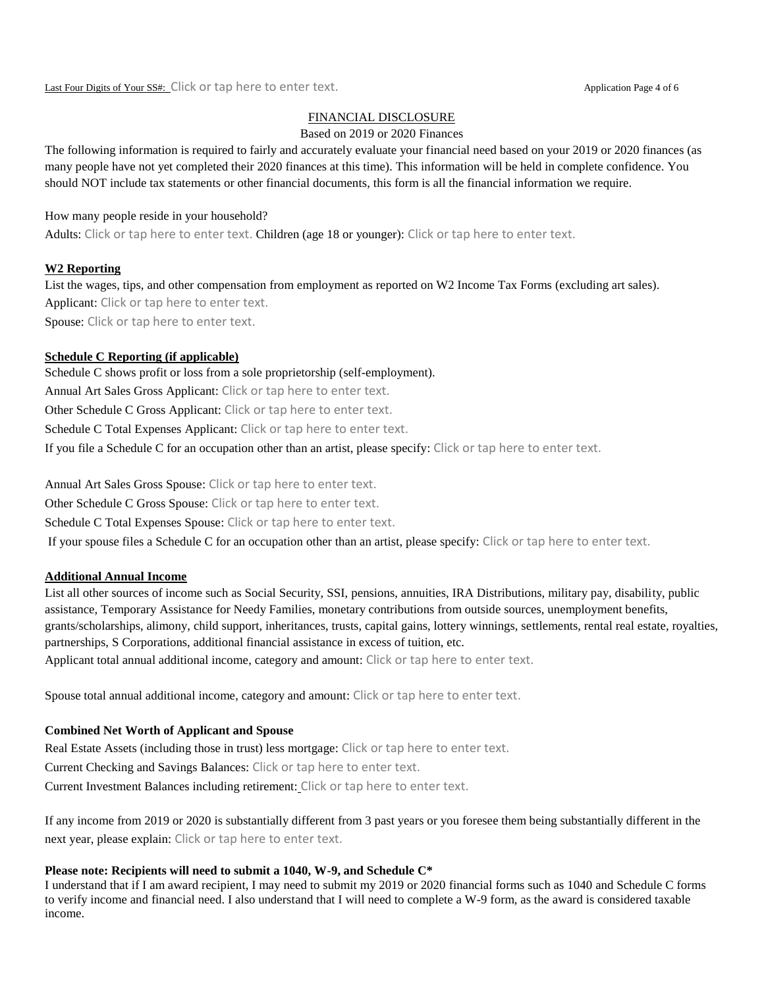## FINANCIAL DISCLOSURE

#### Based on 2019 or 2020 Finances

The following information is required to fairly and accurately evaluate your financial need based on your 2019 or 2020 finances (as many people have not yet completed their 2020 finances at this time). This information will be held in complete confidence. You should NOT include tax statements or other financial documents, this form is all the financial information we require.

## How many people reside in your household?

Adults: Click or tap here to enter text. Children (age 18 or younger): Click or tap here to enter text.

## **W2 Reporting**

List the wages, tips, and other compensation from employment as reported on W2 Income Tax Forms (excluding art sales). Applicant: Click or tap here to enter text. Spouse: Click or tap here to enter text.

## **Schedule C Reporting (if applicable)**

Schedule C shows profit or loss from a sole proprietorship (self-employment). Annual Art Sales Gross Applicant: Click or tap here to enter text. Other Schedule C Gross Applicant: Click or tap here to enter text. Schedule C Total Expenses Applicant: Click or tap here to enter text. If you file a Schedule C for an occupation other than an artist, please specify: Click or tap here to enter text.

Annual Art Sales Gross Spouse: Click or tap here to enter text.

Other Schedule C Gross Spouse: Click or tap here to enter text.

Schedule C Total Expenses Spouse: Click or tap here to enter text.

If your spouse files a Schedule C for an occupation other than an artist, please specify: Click or tap here to enter text.

## **Additional Annual Income**

List all other sources of income such as Social Security, SSI, pensions, annuities, IRA Distributions, military pay, disability, public assistance, Temporary Assistance for Needy Families, monetary contributions from outside sources, unemployment benefits, grants/scholarships, alimony, child support, inheritances, trusts, capital gains, lottery winnings, settlements, rental real estate, royalties, partnerships, S Corporations, additional financial assistance in excess of tuition, etc.

Applicant total annual additional income, category and amount: Click or tap here to enter text.

Spouse total annual additional income, category and amount: Click or tap here to enter text.

## **Combined Net Worth of Applicant and Spouse**

Real Estate Assets (including those in trust) less mortgage: Click or tap here to enter text. Current Checking and Savings Balances: Click or tap here to enter text. Current Investment Balances including retirement: Click or tap here to enter text.

If any income from 2019 or 2020 is substantially different from 3 past years or you foresee them being substantially different in the next year, please explain: Click or tap here to enter text.

# **Please note: Recipients will need to submit a 1040, W-9, and Schedule C\***

I understand that if I am award recipient, I may need to submit my 2019 or 2020 financial forms such as 1040 and Schedule C forms to verify income and financial need. I also understand that I will need to complete a W-9 form, as the award is considered taxable income.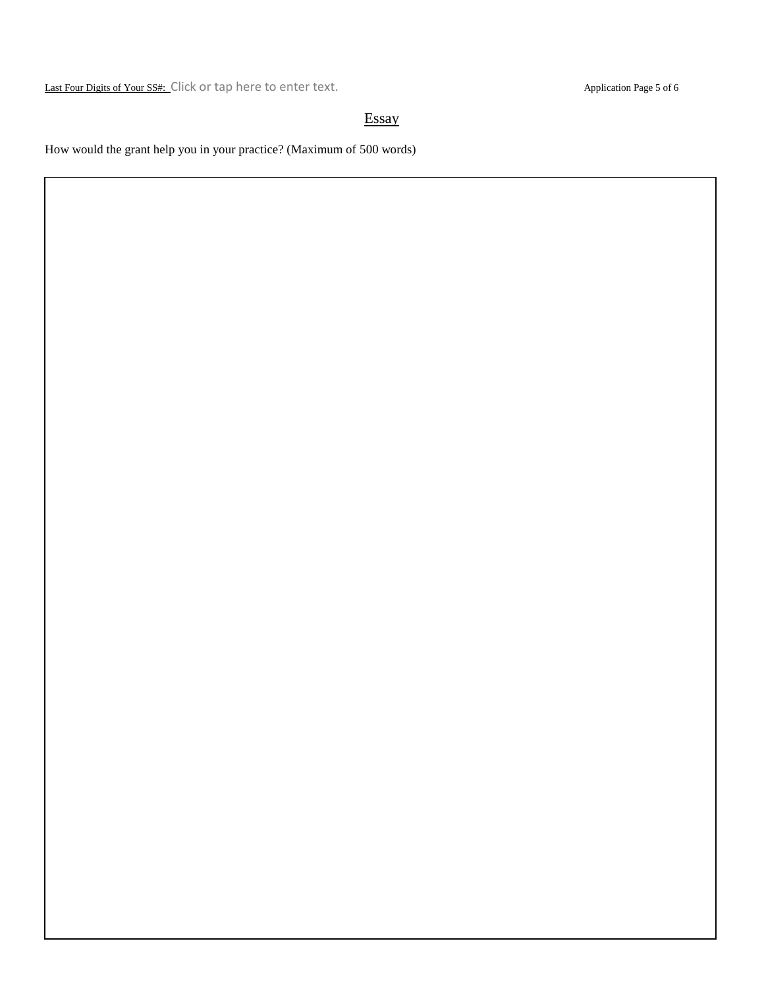Last Four Digits of Your SS#: Click or tap here to enter text. Application Page 5 of 6

# **Essay**

How would the grant help you in your practice? (Maximum of 500 words)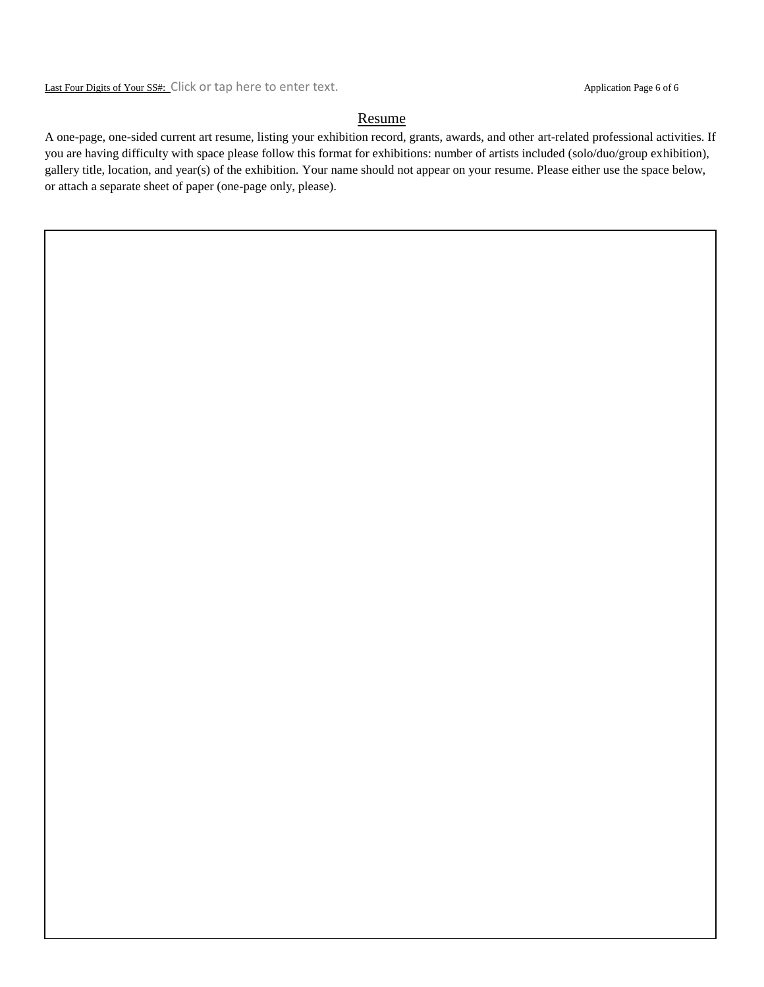Last Four Digits of Your SS#: Click or tap here to enter text. Application Page 6 of 6

## Resume

A one-page, one-sided current art resume, listing your exhibition record, grants, awards, and other art-related professional activities. If you are having difficulty with space please follow this format for exhibitions: number of artists included (solo/duo/group exhibition), gallery title, location, and year(s) of the exhibition. Your name should not appear on your resume. Please either use the space below, or attach a separate sheet of paper (one-page only, please).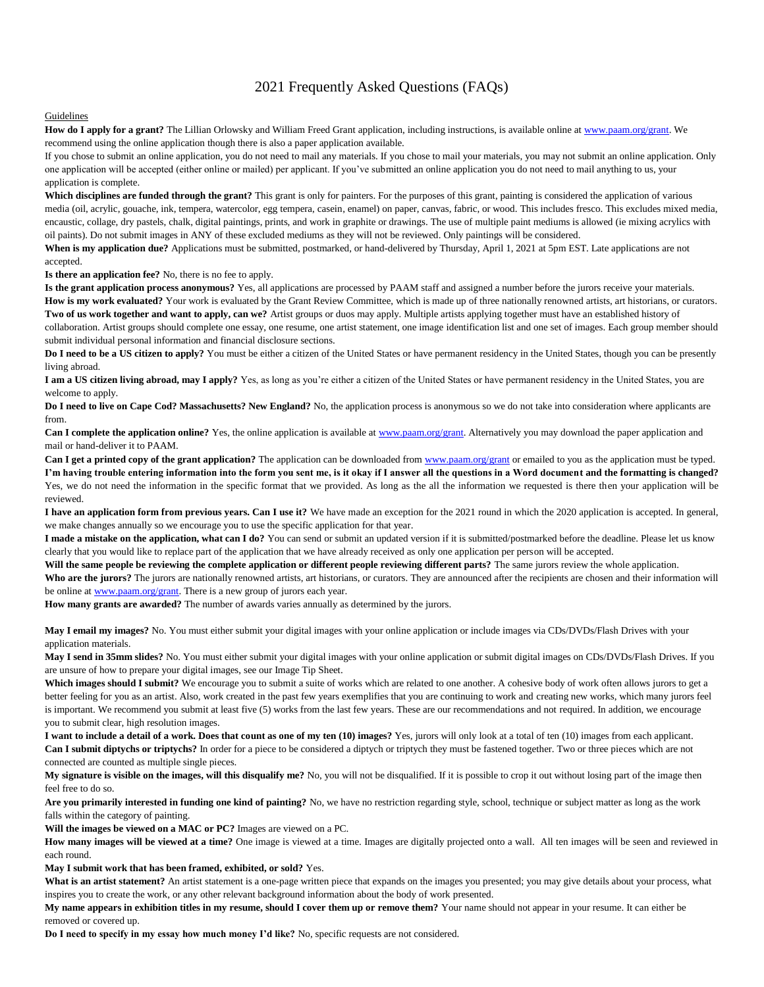# 2021 Frequently Asked Questions (FAQs)

#### Guidelines

**How do I apply for a grant?** The Lillian Orlowsky and William Freed Grant application, including instructions, is available online a[t www.paam.org/grant.](http://www.paam.org/grant) We recommend using the online application though there is also a paper application available.

If you chose to submit an online application, you do not need to mail any materials. If you chose to mail your materials, you may not submit an online application. Only one application will be accepted (either online or mailed) per applicant. If you've submitted an online application you do not need to mail anything to us, your application is complete.

**Which disciplines are funded through the grant?** This grant is only for painters. For the purposes of this grant, painting is considered the application of various media (oil, acrylic, gouache, ink, tempera, watercolor, egg tempera, casein, enamel) on paper, canvas, fabric, or wood. This includes fresco. This excludes mixed media, encaustic, collage, dry pastels, chalk, digital paintings, prints, and work in graphite or drawings. The use of multiple paint mediums is allowed (ie mixing acrylics with oil paints). Do not submit images in ANY of these excluded mediums as they will not be reviewed. Only paintings will be considered.

When is my application due? Applications must be submitted, postmarked, or hand-delivered by Thursday, April 1, 2021 at 5pm EST. Late applications are not accepted.

**Is there an application fee?** No, there is no fee to apply.

**Is the grant application process anonymous?** Yes, all applications are processed by PAAM staff and assigned a number before the jurors receive your materials. How is my work evaluated? Your work is evaluated by the Grant Review Committee, which is made up of three nationally renowned artists, art historians, or curators. **Two of us work together and want to apply, can we?** Artist groups or duos may apply. Multiple artists applying together must have an established history of collaboration. Artist groups should complete one essay, one resume, one artist statement, one image identification list and one set of images. Each group member should submit individual personal information and financial disclosure sections.

**Do I need to be a US citizen to apply?** You must be either a citizen of the United States or have permanent residency in the United States, though you can be presently living abroad.

**I am a US citizen living abroad, may I apply?** Yes, as long as you're either a citizen of the United States or have permanent residency in the United States, you are welcome to apply.

**Do I need to live on Cape Cod? Massachusetts? New England?** No, the application process is anonymous so we do not take into consideration where applicants are from.

**Can I complete the application online?** Yes, the online application is available a[t www.paam.org/grant.](http://www.paam.org/grant) Alternatively you may download the paper application and mail or hand-deliver it to PAAM.

**Can I get a printed copy of the grant application?** The application can be downloaded fro[m www.paam.org/grant](http://www.paam.org/grant) or emailed to you as the application must be typed. **I'm having trouble entering information into the form you sent me, is it okay if I answer all the questions in a Word document and the formatting is changed?** Yes, we do not need the information in the specific format that we provided. As long as the all the information we requested is there then your application will be reviewed.

**I have an application form from previous years. Can I use it?** We have made an exception for the 2021 round in which the 2020 application is accepted. In general, we make changes annually so we encourage you to use the specific application for that year.

I made a mistake on the application, what can I do? You can send or submit an updated version if it is submitted/postmarked before the deadline. Please let us know clearly that you would like to replace part of the application that we have already received as only one application per person will be accepted.

Will the same people be reviewing the complete application or different people reviewing different parts? The same jurors review the whole application.

Who are the jurors? The jurors are nationally renowned artists, art historians, or curators. They are announced after the recipients are chosen and their information will be online a[t www.paam.org/grant.](http://www.paam.org/grant) There is a new group of jurors each year.

**How many grants are awarded?** The number of awards varies annually as determined by the jurors.

**May I email my images?** No. You must either submit your digital images with your online application or include images via CDs/DVDs/Flash Drives with your application materials.

May I send in 35mm slides? No. You must either submit your digital images with your online application or submit digital images on CDs/DVDs/Flash Drives. If you are unsure of how to prepare your digital images, see our Image Tip Sheet.

Which images should I submit? We encourage you to submit a suite of works which are related to one another. A cohesive body of work often allows jurors to get a better feeling for you as an artist. Also, work created in the past few years exemplifies that you are continuing to work and creating new works, which many jurors feel is important. We recommend you submit at least five (5) works from the last few years. These are our recommendations and not required. In addition, we encourage you to submit clear, high resolution images.

**I want to include a detail of a work. Does that count as one of my ten (10) images?** Yes, jurors will only look at a total of ten (10) images from each applicant. **Can I submit diptychs or triptychs?** In order for a piece to be considered a diptych or triptych they must be fastened together. Two or three pieces which are not connected are counted as multiple single pieces.

**My signature is visible on the images, will this disqualify me?** No, you will not be disqualified. If it is possible to crop it out without losing part of the image then feel free to do so.

Are you primarily interested in funding one kind of painting? No, we have no restriction regarding style, school, technique or subject matter as long as the work falls within the category of painting.

**Will the images be viewed on a MAC or PC?** Images are viewed on a PC.

How many images will be viewed at a time? One image is viewed at a time. Images are digitally projected onto a wall. All ten images will be seen and reviewed in each round.

**May I submit work that has been framed, exhibited, or sold?** Yes.

What is an artist statement? An artist statement is a one-page written piece that expands on the images you presented; you may give details about your process, what inspires you to create the work, or any other relevant background information about the body of work presented.

**My name appears in exhibition titles in my resume, should I cover them up or remove them?** Your name should not appear in your resume. It can either be removed or covered up.

**Do I need to specify in my essay how much money I'd like?** No, specific requests are not considered.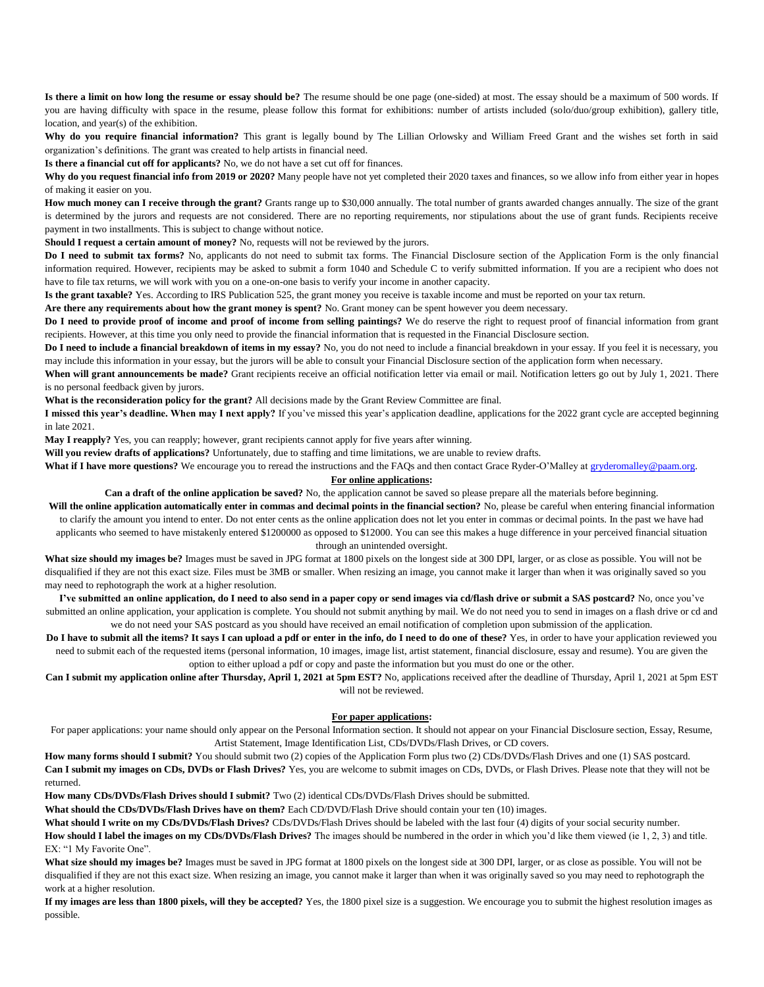**Is there a limit on how long the resume or essay should be?** The resume should be one page (one-sided) at most. The essay should be a maximum of 500 words. If you are having difficulty with space in the resume, please follow this format for exhibitions: number of artists included (solo/duo/group exhibition), gallery title, location, and year(s) of the exhibition.

**Why do you require financial information?** This grant is legally bound by The Lillian Orlowsky and William Freed Grant and the wishes set forth in said organization's definitions. The grant was created to help artists in financial need.

**Is there a financial cut off for applicants?** No, we do not have a set cut off for finances.

Why do you request financial info from 2019 or 2020? Many people have not yet completed their 2020 taxes and finances, so we allow info from either year in hopes of making it easier on you.

**How much money can I receive through the grant?** Grants range up to \$30,000 annually. The total number of grants awarded changes annually. The size of the grant is determined by the jurors and requests are not considered. There are no reporting requirements, nor stipulations about the use of grant funds. Recipients receive payment in two installments. This is subject to change without notice.

**Should I request a certain amount of money?** No, requests will not be reviewed by the jurors.

**Do I need to submit tax forms?** No, applicants do not need to submit tax forms. The Financial Disclosure section of the Application Form is the only financial information required. However, recipients may be asked to submit a form 1040 and Schedule C to verify submitted information. If you are a recipient who does not have to file tax returns, we will work with you on a one-on-one basis to verify your income in another capacity.

**Is the grant taxable?** Yes. According to IRS Publication 525, the grant money you receive is taxable income and must be reported on your tax return.

**Are there any requirements about how the grant money is spent?** No. Grant money can be spent however you deem necessary.

**Do I need to provide proof of income and proof of income from selling paintings?** We do reserve the right to request proof of financial information from grant recipients. However, at this time you only need to provide the financial information that is requested in the Financial Disclosure section.

Do I need to include a financial breakdown of items in my essay? No, you do not need to include a financial breakdown in your essay. If you feel it is necessary, you may include this information in your essay, but the jurors will be able to consult your Financial Disclosure section of the application form when necessary.

When will grant announcements be made? Grant recipients receive an official notification letter via email or mail. Notification letters go out by July 1, 2021. There is no personal feedback given by jurors.

**What is the reconsideration policy for the grant?** All decisions made by the Grant Review Committee are final.

**I missed this year's deadline. When may I next apply?** If you've missed this year's application deadline, applications for the 2022 grant cycle are accepted beginning in late 2021.

**May I reapply?** Yes, you can reapply; however, grant recipients cannot apply for five years after winning.

**Will you review drafts of applications?** Unfortunately, due to staffing and time limitations, we are unable to review drafts.

What if I have more questions? We encourage you to reread the instructions and the FAQs and then contact Grace Ryder-O'Malley a[t gryderomalley@paam.org.](mailto:gryderomalley@paam.org)

#### **For online applications:**

**Can a draft of the online application be saved?** No, the application cannot be saved so please prepare all the materials before beginning.

Will the online application automatically enter in commas and decimal points in the financial section? No, please be careful when entering financial information to clarify the amount you intend to enter. Do not enter cents as the online application does not let you enter in commas or decimal points. In the past we have had applicants who seemed to have mistakenly entered \$1200000 as opposed to \$12000. You can see this makes a huge difference in your perceived financial situation through an unintended oversight.

**What size should my images be?** Images must be saved in JPG format at 1800 pixels on the longest side at 300 DPI, larger, or as close as possible. You will not be disqualified if they are not this exact size. Files must be 3MB or smaller. When resizing an image, you cannot make it larger than when it was originally saved so you may need to rephotograph the work at a higher resolution.

**I've submitted an online application, do I need to also send in a paper copy or send images via cd/flash drive or submit a SAS postcard?** No, once you've submitted an online application, your application is complete. You should not submit anything by mail. We do not need you to send in images on a flash drive or cd and we do not need your SAS postcard as you should have received an email notification of completion upon submission of the application.

**Do I have to submit all the items? It says I can upload a pdf or enter in the info, do I need to do one of these?** Yes, in order to have your application reviewed you need to submit each of the requested items (personal information, 10 images, image list, artist statement, financial disclosure, essay and resume). You are given the option to either upload a pdf or copy and paste the information but you must do one or the other.

**Can I submit my application online after Thursday, April 1, 2021 at 5pm EST?** No, applications received after the deadline of Thursday, April 1, 2021 at 5pm EST will not be reviewed.

#### **For paper applications:**

For paper applications: your name should only appear on the Personal Information section. It should not appear on your Financial Disclosure section, Essay, Resume, Artist Statement, Image Identification List, CDs/DVDs/Flash Drives, or CD covers.

**How many forms should I submit?** You should submit two (2) copies of the Application Form plus two (2) CDs/DVDs/Flash Drives and one (1) SAS postcard. **Can I submit my images on CDs, DVDs or Flash Drives?** Yes, you are welcome to submit images on CDs, DVDs, or Flash Drives. Please note that they will not be returned.

**How many CDs/DVDs/Flash Drives should I submit?** Two (2) identical CDs/DVDs/Flash Drives should be submitted.

**What should the CDs/DVDs/Flash Drives have on them?** Each CD/DVD/Flash Drive should contain your ten (10) images.

**What should I write on my CDs/DVDs/Flash Drives?** CDs/DVDs/Flash Drives should be labeled with the last four (4) digits of your social security number.

**How should I label the images on my CDs/DVDs/Flash Drives?** The images should be numbered in the order in which you'd like them viewed (ie 1, 2, 3) and title. EX: "1 My Favorite One".

What size should my images be? Images must be saved in JPG format at 1800 pixels on the longest side at 300 DPI, larger, or as close as possible. You will not be disqualified if they are not this exact size. When resizing an image, you cannot make it larger than when it was originally saved so you may need to rephotograph the work at a higher resolution.

**If my images are less than 1800 pixels, will they be accepted?** Yes, the 1800 pixel size is a suggestion. We encourage you to submit the highest resolution images as possible.